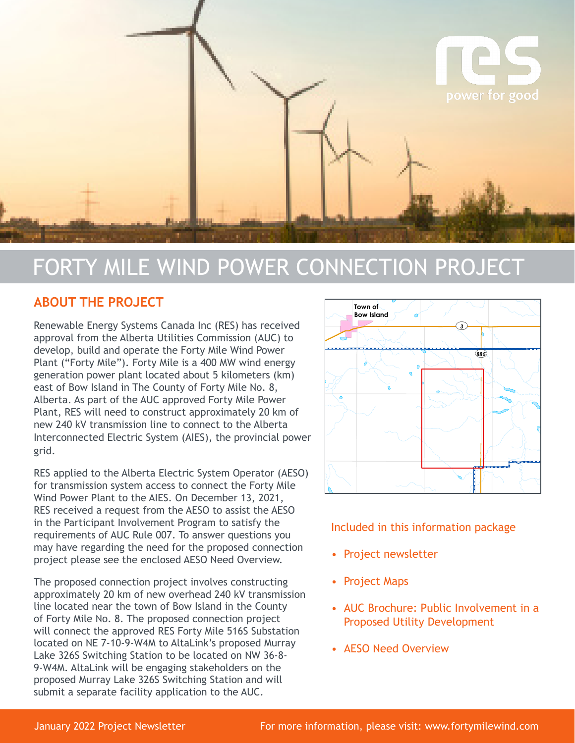

# FORTY MILE WIND POWER CONNECTION PROJECT

## **ABOUT THE PROJECT**

Renewable Energy Systems Canada Inc (RES) has received approval from the Alberta Utilities Commission (AUC) to develop, build and operate the Forty Mile Wind Power Plant ("Forty Mile"). Forty Mile is a 400 MW wind energy generation power plant located about 5 kilometers (km) east of Bow Island in The County of Forty Mile No. 8, Alberta. As part of the AUC approved Forty Mile Power Plant, RES will need to construct approximately 20 km of new 240 kV transmission line to connect to the Alberta Interconnected Electric System (AIES), the provincial power grid.

RES applied to the Alberta Electric System Operator (AESO) for transmission system access to connect the Forty Mile Wind Power Plant to the AIES. On December 13, 2021, RES received a request from the AESO to assist the AESO in the Participant Involvement Program to satisfy the requirements of AUC Rule 007. To answer questions you may have regarding the need for the proposed connection project please see the enclosed AESO Need Overview.

The proposed connection project involves constructing approximately 20 km of new overhead 240 kV transmission line located near the town of Bow Island in the County of Forty Mile No. 8. The proposed connection project will connect the approved RES Forty Mile 516S Substation located on NE 7-10-9-W4M to AltaLink's proposed Murray Lake 326S Switching Station to be located on NW 36-8- 9-W4M. AltaLink will be engaging stakeholders on the proposed Murray Lake 326S Switching Station and will submit a separate facility application to the AUC.



Included in this information package

- Project newsletter
- Project Maps
- AUC Brochure: Public Involvement in a Proposed Utility Development R11 W4M R9 W4M R9 W4M R9 W4M R9 W4M R9 W4M R9 W4M R9 W4M R9 W4M R9 W4M R9 W4M R9 W4M R9 W4M R9 W4M R9 W4M R9 W
- AESO Need Overview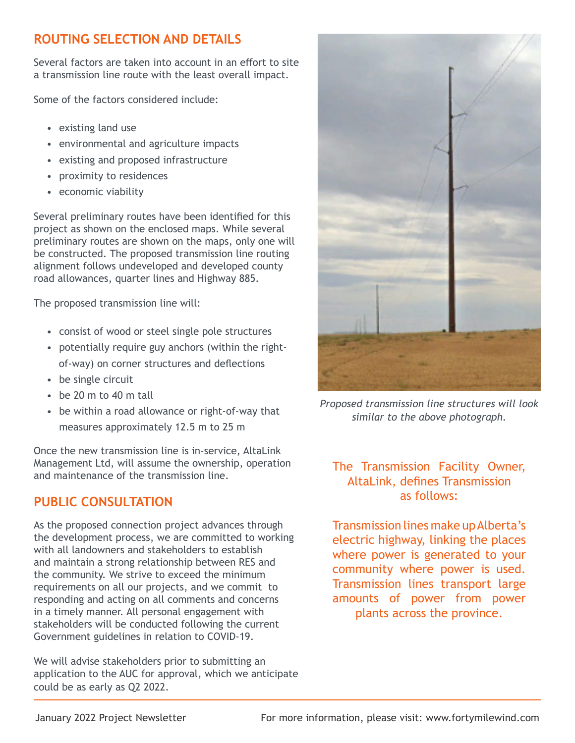# **ROUTING SELECTION AND DETAILS**

Several factors are taken into account in an effort to site a transmission line route with the least overall impact.

Some of the factors considered include:

- existing land use
- environmental and agriculture impacts
- existing and proposed infrastructure
- proximity to residences
- economic viability

Several preliminary routes have been identified for this project as shown on the enclosed maps. While several preliminary routes are shown on the maps, only one will be constructed. The proposed transmission line routing alignment follows undeveloped and developed county road allowances, quarter lines and Highway 885.

The proposed transmission line will:

- consist of wood or steel single pole structures
- potentially require guy anchors (within the right of-way) on corner structures and deflections
- be single circuit
- be 20 m to 40 m tall
- be within a road allowance or right-of-way that measures approximately 12.5 m to 25 m

Once the new transmission line is in-service, AltaLink Management Ltd, will assume the ownership, operation and maintenance of the transmission line.

# **PUBLIC CONSULTATION**

As the proposed connection project advances through the development process, we are committed to working with all landowners and stakeholders to establish and maintain a strong relationship between RES and the community. We strive to exceed the minimum requirements on all our projects, and we commit to responding and acting on all comments and concerns in a timely manner. All personal engagement with stakeholders will be conducted following the current Government guidelines in relation to COVID-19.

We will advise stakeholders prior to submitting an application to the AUC for approval, which we anticipate could be as early as Q2 2022.



*Proposed transmission line structures will look similar to the above photograph.*

## The Transmission Facility Owner, AltaLink, defines Transmission as follows:

Transmission lines make up Alberta's electric highway, linking the places where power is generated to your community where power is used. Transmission lines transport large amounts of power from power plants across the province.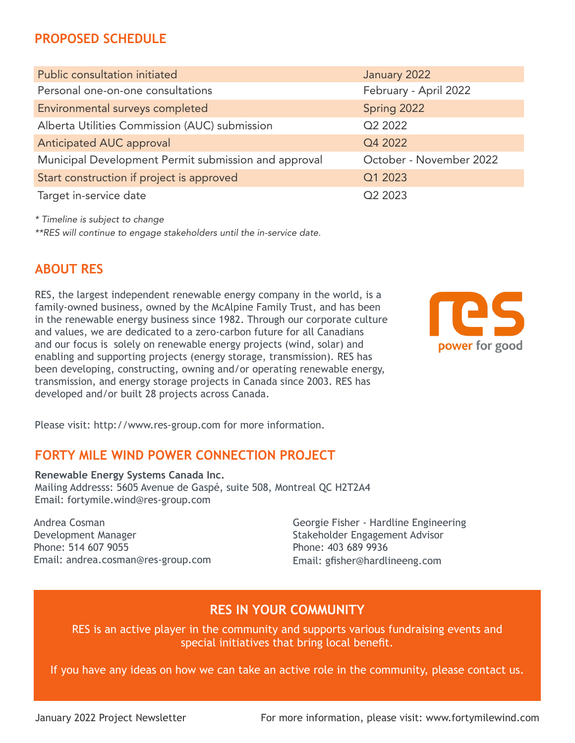# **PROPOSED SCHEDULE**

| Public consultation initiated                        | January 2022            |
|------------------------------------------------------|-------------------------|
| Personal one-on-one consultations                    | February - April 2022   |
| Environmental surveys completed                      | Spring 2022             |
| Alberta Utilities Commission (AUC) submission        | Q <sub>2</sub> 2022     |
| Anticipated AUC approval                             | Q4 2022                 |
| Municipal Development Permit submission and approval | October - November 2022 |
| Start construction if project is approved            | Q1 2023                 |
| Target in-service date                               | Q <sub>2</sub> 2023     |

*\* Timeline is subject to change*

*\*\*RES will continue to engage stakeholders until the in-service date.* 

### **ABOUT RES**

RES, the largest independent renewable energy company in the world, is a family-owned business, owned by the McAlpine Family Trust, and has been in the renewable energy business since 1982. Through our corporate culture and values, we are dedicated to a zero-carbon future for all Canadians and our focus is solely on renewable energy projects (wind, solar) and enabling and supporting projects (energy storage, transmission). RES has been developing, constructing, owning and/or operating renewable energy, transmission, and energy storage projects in Canada since 2003. RES has developed and/or built 28 projects across Canada.



Please visit: http://www.res-group.com for more information.

### **FORTY MILE WIND POWER CONNECTION PROJECT**

**Renewable Energy Systems Canada Inc.** Mailing Addresss: 5605 Avenue de Gaspé, suite 508, Montreal QC H2T2A4 Email: fortymile.wind@res-group.com

Andrea Cosman Development Manager Phone: 514 607 9055 Email: andrea.cosman@res-group.com

Georgie Fisher - Hardline Engineering Stakeholder Engagement Advisor Phone: 403 689 9936 Email: gfisher@hardlineeng.com

## **RES IN YOUR COMMUNITY**

RES is an active player in the community and supports various fundraising events and special initiatives that bring local benefit.

If you have any ideas on how we can take an active role in the community, please contact us.